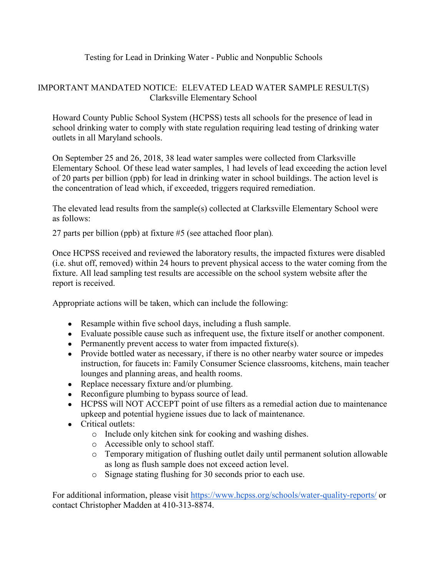## Testing for Lead in Drinking Water - Public and Nonpublic Schools

## IMPORTANT MANDATED NOTICE: ELEVATED LEAD WATER SAMPLE RESULT(S) Clarksville Elementary School

Howard County Public School System (HCPSS) tests all schools for the presence of lead in school drinking water to comply with state regulation requiring lead testing of drinking water outlets in all Maryland schools.

On September 25 and 26, 2018, 38 lead water samples were collected from Clarksville Elementary School*.* Of these lead water samples, 1 had levels of lead exceeding the action level of 20 parts per billion (ppb) for lead in drinking water in school buildings. The action level is the concentration of lead which, if exceeded, triggers required remediation.

The elevated lead results from the sample(s) collected at Clarksville Elementary School were as follows:

27 parts per billion (ppb) at fixture #5 (see attached floor plan)*.*

Once HCPSS received and reviewed the laboratory results, the impacted fixtures were disabled (i.e. shut off, removed) within 24 hours to prevent physical access to the water coming from the fixture. All lead sampling test results are accessible on the school system website after the report is received.

Appropriate actions will be taken, which can include the following:

- Resample within five school days, including a flush sample.
- Evaluate possible cause such as infrequent use, the fixture itself or another component.
- Permanently prevent access to water from impacted fixture(s).
- Provide bottled water as necessary, if there is no other nearby water source or impedes instruction, for faucets in: Family Consumer Science classrooms, kitchens, main teacher lounges and planning areas, and health rooms.
- Replace necessary fixture and/or plumbing.
- Reconfigure plumbing to bypass source of lead.
- HCPSS will NOT ACCEPT point of use filters as a remedial action due to maintenance upkeep and potential hygiene issues due to lack of maintenance.
- Critical outlets:
	- o Include only kitchen sink for cooking and washing dishes.
	- o Accessible only to school staff.
	- o Temporary mitigation of flushing outlet daily until permanent solution allowable as long as flush sample does not exceed action level.
	- o Signage stating flushing for 30 seconds prior to each use.

For additional information, please visit<https://www.hcpss.org/schools/water-quality-reports/> or contact Christopher Madden at 410-313-8874.